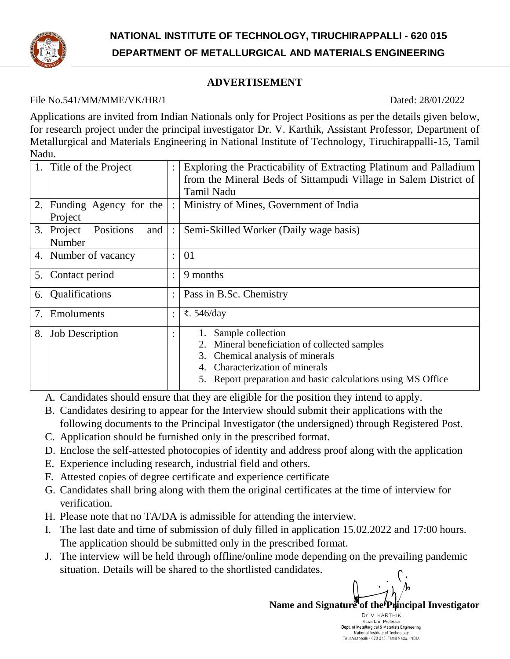

# **ADVERTISEMENT**

### File No.541/MM/MME/VK/HR/1 Dated: 28/01/2022

Applications are invited from Indian Nationals only for Project Positions as per the details given below, for research project under the principal investigator Dr. V. Karthik, Assistant Professor, Department of Metallurgical and Materials Engineering in National Institute of Technology, Tiruchirappalli-15, Tamil Nadu.

|    | Title of the Project        | Exploring the Practicability of Extracting Platinum and Palladium |  |
|----|-----------------------------|-------------------------------------------------------------------|--|
|    |                             | from the Mineral Beds of Sittampudi Village in Salem District of  |  |
|    |                             | <b>Tamil Nadu</b>                                                 |  |
| 2. | Funding Agency for the      | Ministry of Mines, Government of India                            |  |
|    | Project                     |                                                                   |  |
| 3. | Positions<br>Project<br>and | Semi-Skilled Worker (Daily wage basis)                            |  |
|    | Number                      |                                                                   |  |
| 4. | Number of vacancy           | 01                                                                |  |
|    |                             |                                                                   |  |
| 5. | Contact period              | 9 months                                                          |  |
| 6. | Qualifications              | Pass in B.Sc. Chemistry                                           |  |
|    |                             |                                                                   |  |
| 7. | Emoluments                  | ₹. $546$ /day                                                     |  |
| 8. | <b>Job Description</b>      | Sample collection                                                 |  |
|    |                             | Mineral beneficiation of collected samples                        |  |
|    |                             | Chemical analysis of minerals<br>3.                               |  |
|    |                             | Characterization of minerals<br>4.                                |  |
|    |                             |                                                                   |  |
|    |                             | Report preparation and basic calculations using MS Office         |  |

A. Candidates should ensure that they are eligible for the position they intend to apply.

- B. Candidates desiring to appear for the Interview should submit their applications with the following documents to the Principal Investigator (the undersigned) through Registered Post.
- C. Application should be furnished only in the prescribed format.
- D. Enclose the self-attested photocopies of identity and address proof along with the application
- E. Experience including research, industrial field and others.
- F. Attested copies of degree certificate and experience certificate
- G. Candidates shall bring along with them the original certificates at the time of interview for verification.
- H. Please note that no TA/DA is admissible for attending the interview.
- I. The last date and time of submission of duly filled in application 15.02.2022 and 17:00 hours. The application should be submitted only in the prescribed format.
- J. The interview will be held through offline/online mode depending on the prevailing pandemic situation. Details will be shared to the shortlisted candidates.

Name and Signature of the **Principal Investigator** 

Dr. V. KARTHIK Assistant Professor Dept. of Metallurgical & Materials Engineering Dept. of Metallurgical & Materials Engineering<br>National Institute of Technology<br>Tiruchirappalli - 620 015. Tamil Nadu, INDIA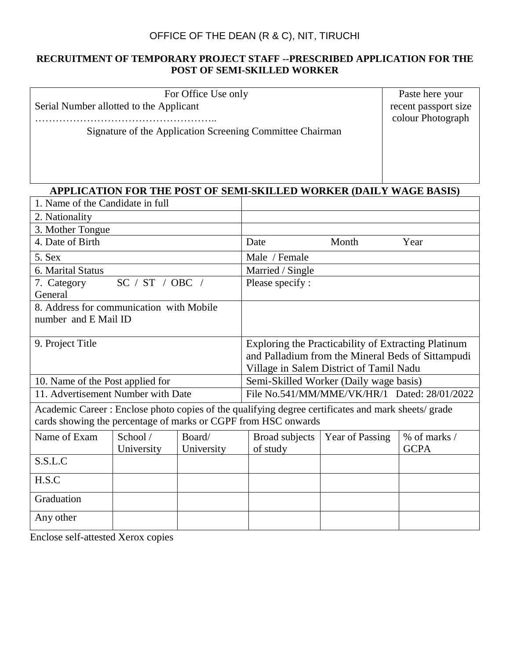## OFFICE OF THE DEAN (R & C), NIT, TIRUCHI

#### **RECRUITMENT OF TEMPORARY PROJECT STAFF --PRESCRIBED APPLICATION FOR THE POST OF SEMI-SKILLED WORKER**

| For Office Use only                     |  |
|-----------------------------------------|--|
| Serial Number allotted to the Applicant |  |

……………………………………………..

Signature of the Application Screening Committee Chairman

Paste here your recent passport size colour Photograph

## **APPLICATION FOR THE POST OF SEMI-SKILLED WORKER (DAILY WAGE BASIS)**

| 1. Name of the Candidate in full                                                                   |                 |            |                                                     |                 |              |  |
|----------------------------------------------------------------------------------------------------|-----------------|------------|-----------------------------------------------------|-----------------|--------------|--|
| 2. Nationality                                                                                     |                 |            |                                                     |                 |              |  |
| 3. Mother Tongue                                                                                   |                 |            |                                                     |                 |              |  |
| 4. Date of Birth                                                                                   |                 |            | Date                                                | Month           | Year         |  |
| 5. Sex                                                                                             |                 |            | Male / Female                                       |                 |              |  |
| 6. Marital Status                                                                                  |                 |            | Married / Single                                    |                 |              |  |
| 7. Category                                                                                        | SC / ST / OBC / |            | Please specify:                                     |                 |              |  |
| General                                                                                            |                 |            |                                                     |                 |              |  |
| 8. Address for communication with Mobile                                                           |                 |            |                                                     |                 |              |  |
| number and E Mail ID                                                                               |                 |            |                                                     |                 |              |  |
|                                                                                                    |                 |            |                                                     |                 |              |  |
| 9. Project Title                                                                                   |                 |            | Exploring the Practicability of Extracting Platinum |                 |              |  |
|                                                                                                    |                 |            | and Palladium from the Mineral Beds of Sittampudi   |                 |              |  |
|                                                                                                    |                 |            | Village in Salem District of Tamil Nadu             |                 |              |  |
| 10. Name of the Post applied for                                                                   |                 |            | Semi-Skilled Worker (Daily wage basis)              |                 |              |  |
| 11. Advertisement Number with Date                                                                 |                 |            | File No.541/MM/MME/VK/HR/1 Dated: 28/01/2022        |                 |              |  |
| Academic Career : Enclose photo copies of the qualifying degree certificates and mark sheets/grade |                 |            |                                                     |                 |              |  |
| cards showing the percentage of marks or CGPF from HSC onwards                                     |                 |            |                                                     |                 |              |  |
| Name of Exam                                                                                       | School /        | Board/     | Broad subjects                                      | Year of Passing | % of marks / |  |
|                                                                                                    | University      | University | of study                                            |                 | <b>GCPA</b>  |  |
| S.S.L.C                                                                                            |                 |            |                                                     |                 |              |  |
| H.S.C                                                                                              |                 |            |                                                     |                 |              |  |
| Graduation                                                                                         |                 |            |                                                     |                 |              |  |
| Any other                                                                                          |                 |            |                                                     |                 |              |  |

Enclose self-attested Xerox copies